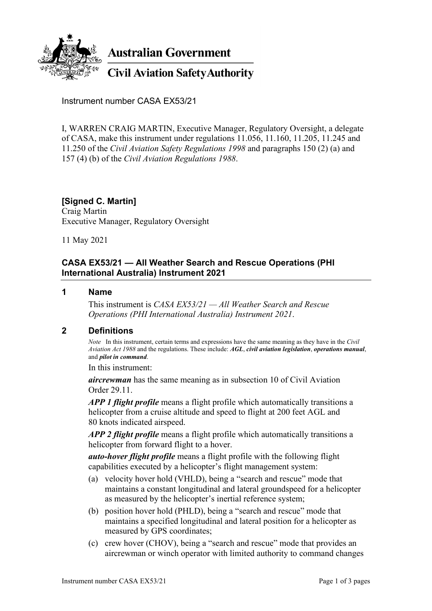

**Australian Government** 

**Civil Aviation Safety Authority** 

Instrument number CASA EX53/21

I, WARREN CRAIG MARTIN, Executive Manager, Regulatory Oversight, a delegate of CASA, make this instrument under regulations 11.056, 11.160, 11.205, 11.245 and 11.250 of the *Civil Aviation Safety Regulations 1998* and paragraphs 150 (2) (a) and 157 (4) (b) of the *Civil Aviation Regulations 1988*.

**[Signed C. Martin]** Craig Martin Executive Manager, Regulatory Oversight

11 May 2021

# **CASA EX53/21 — All Weather Search and Rescue Operations (PHI International Australia) Instrument 2021**

### **1 Name**

This instrument is *CASA EX53/21 — All Weather Search and Rescue Operations (PHI International Australia) Instrument 2021*.

## **2 Definitions**

*Note* In this instrument, certain terms and expressions have the same meaning as they have in the *Civil Aviation Act 1988* and the regulations. These include: *AGL*, *civil aviation legislation*, *operations manual*, and *pilot in command*.

In this instrument:

*aircrewman* has the same meaning as in subsection 10 of Civil Aviation Order 29.11.

*APP 1 flight profile* means a flight profile which automatically transitions a helicopter from a cruise altitude and speed to flight at 200 feet AGL and 80 knots indicated airspeed.

*APP 2 flight profile* means a flight profile which automatically transitions a helicopter from forward flight to a hover.

*auto-hover flight profile* means a flight profile with the following flight capabilities executed by a helicopter's flight management system:

- (a) velocity hover hold (VHLD), being a "search and rescue" mode that maintains a constant longitudinal and lateral groundspeed for a helicopter as measured by the helicopter's inertial reference system;
- (b) position hover hold (PHLD), being a "search and rescue" mode that maintains a specified longitudinal and lateral position for a helicopter as measured by GPS coordinates;
- (c) crew hover (CHOV), being a "search and rescue" mode that provides an aircrewman or winch operator with limited authority to command changes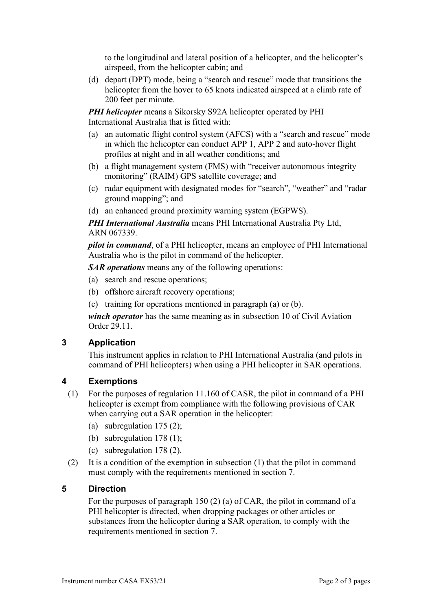to the longitudinal and lateral position of a helicopter, and the helicopter's airspeed, from the helicopter cabin; and

(d) depart (DPT) mode, being a "search and rescue" mode that transitions the helicopter from the hover to 65 knots indicated airspeed at a climb rate of 200 feet per minute.

*PHI helicopter* means a Sikorsky S92A helicopter operated by PHI International Australia that is fitted with:

- (a) an automatic flight control system (AFCS) with a "search and rescue" mode in which the helicopter can conduct APP 1, APP 2 and auto-hover flight profiles at night and in all weather conditions; and
- (b) a flight management system (FMS) with "receiver autonomous integrity monitoring" (RAIM) GPS satellite coverage; and
- (c) radar equipment with designated modes for "search", "weather" and "radar ground mapping"; and
- (d) an enhanced ground proximity warning system (EGPWS).

*PHI International Australia* means PHI International Australia Pty Ltd, ARN 067339.

*pilot in command*, of a PHI helicopter, means an employee of PHI International Australia who is the pilot in command of the helicopter.

*SAR operations* means any of the following operations:

- (a) search and rescue operations;
- (b) offshore aircraft recovery operations;
- (c) training for operations mentioned in paragraph (a) or (b).

*winch operator* has the same meaning as in subsection 10 of Civil Aviation Order 29.11.

## **3 Application**

This instrument applies in relation to PHI International Australia (and pilots in command of PHI helicopters) when using a PHI helicopter in SAR operations.

## **4 Exemptions**

- (1) For the purposes of regulation 11.160 of CASR, the pilot in command of a PHI helicopter is exempt from compliance with the following provisions of CAR when carrying out a SAR operation in the helicopter:
	- (a) subregulation 175 (2);
	- (b) subregulation 178 (1);
	- (c) subregulation 178 (2).
- (2) It is a condition of the exemption in subsection (1) that the pilot in command must comply with the requirements mentioned in section 7.

## **5 Direction**

For the purposes of paragraph 150 (2) (a) of CAR, the pilot in command of a PHI helicopter is directed, when dropping packages or other articles or substances from the helicopter during a SAR operation, to comply with the requirements mentioned in section 7.